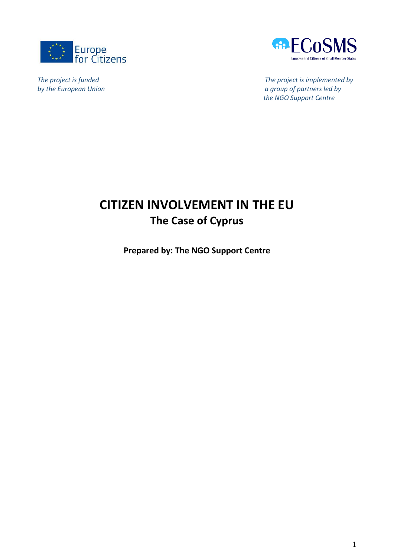



*The project is funded The project is implemented by by the European Union a group of partners led by the NGO Support Centre*

# **CITIZEN INVOLVEMENT IN THE EU The Case of Cyprus**

**Prepared by: The NGO Support Centre**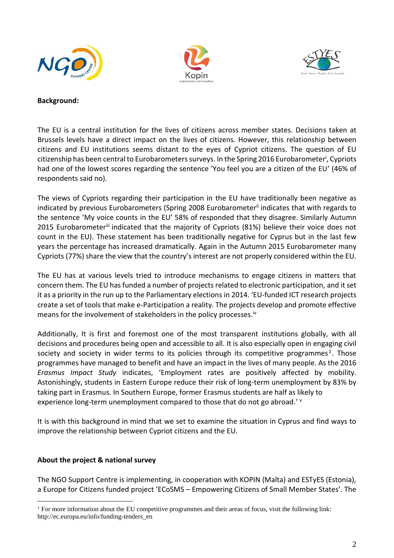





### **Background:**

The EU is a central institution for the lives of citizens across member states. Decisions taken at Brussels levels have a direct impact on the lives of citizens. However, this relationship between citizens and EU institutions seems distant to the eyes of Cypriot citizens. The question of EU citizenship has been central to Eurobarometers surveys. In the Spring 2016 Eurobarometer<sup>i</sup>, Cypriots had one of the lowest scores regarding the sentence 'You feel you are a citizen of the EU' (46% of respondents said no).

The views of Cypriots regarding their participation in the EU have traditionally been negative as indicated by previous Eurobarometers (Spring 2008 Eurobarometer<sup>ii</sup> indicates that with regards to the sentence 'My voice counts in the EU' 58% of responded that they disagree. Similarly Autumn 2015 Eurobarometeriii indicated that the majority of Cypriots (81%) believe their voice does not count in the EU). These statement has been traditionally negative for Cyprus but in the last few years the percentage has increased dramatically. Again in the Autumn 2015 Eurobarometer many Cypriots (77%) share the view that the country's interest are not properly considered within the EU.

The EU has at various levels tried to introduce mechanisms to engage citizens in matters that concern them. The EU has funded a number of projects related to electronic participation, and it set it as a priority in the run up to the Parliamentary elections in 2014. 'EU-funded ICT research projects create a set of tools that make e-Participation a reality. The projects develop and promote effective means for the involvement of stakeholders in the policy processes.<sup>iv</sup>

Additionally, It is first and foremost one of the most transparent institutions globally, with all decisions and procedures being open and accessible to all. It is also especially open in engaging civil society and society in wider terms to its policies through its competitive programmes<sup>1</sup>. Those programmes have managed to benefit and have an impact in the lives of many people. As the 2016 *Erasmus Impact Study* indicates, 'Employment rates are positively affected by mobility. Astonishingly, students in Eastern Europe reduce their risk of long-term unemployment by 83% by taking part in Erasmus. In Southern Europe, former Erasmus students are half as likely to experience long-term unemployment compared to those that do not go abroad.' v

It is with this background in mind that we set to examine the situation in Cyprus and find ways to improve the relationship between Cypriot citizens and the EU.

### **About the project & national survey**

<u>.</u>

The NGO Support Centre is implementing, in cooperation with KOPIN (Malta) and ESTyES (Estonia), a Europe for Citizens funded project 'ECoSMS – Empowering Citizens of Small Member States'. The

<sup>&</sup>lt;sup>1</sup> For more information about the EU competitive programmes and their areas of focus, visit the following link: http://ec.europa.eu/info/funding-tenders\_en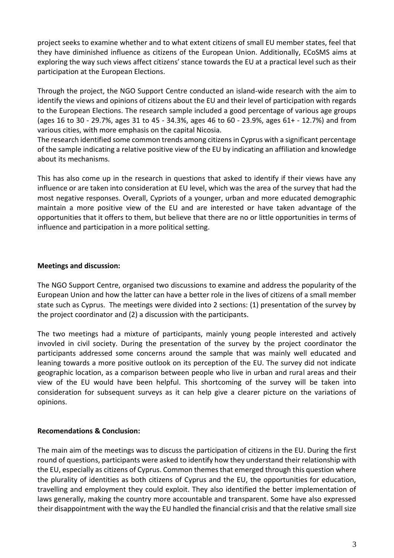project seeks to examine whether and to what extent citizens of small EU member states, feel that they have diminished influence as citizens of the European Union. Additionally, ECoSMS aims at exploring the way such views affect citizens' stance towards the EU at a practical level such as their participation at the European Elections.

Through the project, the NGO Support Centre conducted an island-wide research with the aim to identify the views and opinions of citizens about the EU and their level of participation with regards to the European Elections. The research sample included a good percentage of various age groups (ages 16 to 30 - 29.7%, ages 31 to 45 - 34.3%, ages 46 to 60 - 23.9%, ages 61+ - 12.7%) and from various cities, with more emphasis on the capital Nicosia.

The research identified some common trends among citizens in Cyprus with a significant percentage of the sample indicating a relative positive view of the EU by indicating an affiliation and knowledge about its mechanisms.

This has also come up in the research in questions that asked to identify if their views have any influence or are taken into consideration at EU level, which was the area of the survey that had the most negative responses. Overall, Cypriots of a younger, urban and more educated demographic maintain a more positive view of the EU and are interested or have taken advantage of the opportunities that it offers to them, but believe that there are no or little opportunities in terms of influence and participation in a more political setting.

## **Meetings and discussion:**

The NGO Support Centre, organised two discussions to examine and address the popularity of the European Union and how the latter can have a better role in the lives of citizens of a small member state such as Cyprus. The meetings were divided into 2 sections: (1) presentation of the survey by the project coordinator and (2) a discussion with the participants.

The two meetings had a mixture of participants, mainly young people interested and actively invovled in civil society. During the presentation of the survey by the project coordinator the participants addressed some concerns around the sample that was mainly well educated and leaning towards a more positive outlook on its perception of the EU. The survey did not indicate geographic location, as a comparison between people who live in urban and rural areas and their view of the EU would have been helpful. This shortcoming of the survey will be taken into consideration for subsequent surveys as it can help give a clearer picture on the variations of opinions.

### **Recomendations & Conclusion:**

The main aim of the meetings was to discuss the participation of citizens in the EU. During the first round of questions, participants were asked to identify how they understand their relationship with the EU, especially as citizens of Cyprus. Common themes that emerged through this question where the plurality of identities as both citizens of Cyprus and the EU, the opportunities for education, travelling and employment they could exploit. They also identified the better implementation of laws generally, making the country more accountable and transparent. Some have also expressed their disappointment with the way the EU handled the financial crisis and that the relative small size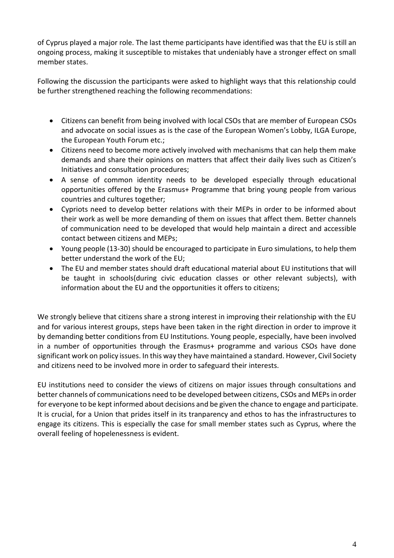of Cyprus played a major role. The last theme participants have identified was that the EU is still an ongoing process, making it susceptible to mistakes that undeniably have a stronger effect on small member states.

Following the discussion the participants were asked to highlight ways that this relationship could be further strengthened reaching the following recommendations:

- Citizens can benefit from being involved with local CSOs that are member of European CSOs and advocate on social issues as is the case of the European Women's Lobby, ILGA Europe, the European Youth Forum etc.;
- Citizens need to become more actively involved with mechanisms that can help them make demands and share their opinions on matters that affect their daily lives such as Citizen's Initiatives and consultation procedures;
- A sense of common identity needs to be developed especially through educational opportunities offered by the Erasmus+ Programme that bring young people from various countries and cultures together;
- Cypriots need to develop better relations with their MEPs in order to be informed about their work as well be more demanding of them on issues that affect them. Better channels of communication need to be developed that would help maintain a direct and accessible contact between citizens and MEPs;
- Young people (13-30) should be encouraged to participate in Euro simulations, to help them better understand the work of the EU;
- The EU and member states should draft educational material about EU institutions that will be taught in schools(during civic education classes or other relevant subjects), with information about the EU and the opportunities it offers to citizens;

We strongly believe that citizens share a strong interest in improving their relationship with the EU and for various interest groups, steps have been taken in the right direction in order to improve it by demanding better conditions from EU Institutions. Young people, especially, have been involved in a number of opportunities through the Erasmus+ programme and various CSOs have done significant work on policy issues. In this way they have maintained a standard. However, Civil Society and citizens need to be involved more in order to safeguard their interests.

EU institutions need to consider the views of citizens on major issues through consultations and better channels of communications need to be developed between citizens, CSOs and MEPs in order for everyone to be kept informed about decisions and be given the chance to engage and participate. It is crucial, for a Union that prides itself in its tranparency and ethos to has the infrastructures to engage its citizens. This is especially the case for small member states such as Cyprus, where the overall feeling of hopelenessness is evident.